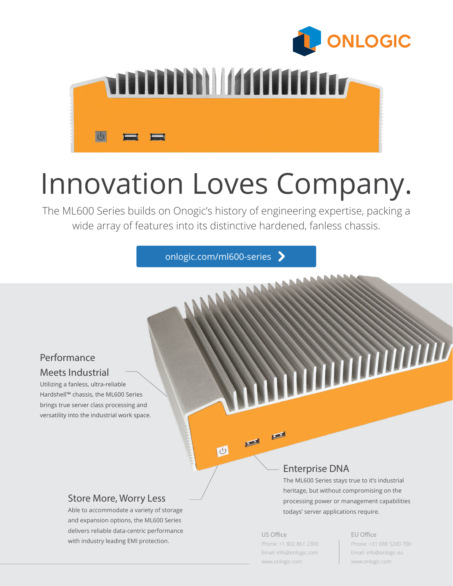



# Innovation Loves Company.

The ML600 Series builds on Onogic's history of engineering expertise, packing a wide array of features into its distinctive hardened, fanless chassis.

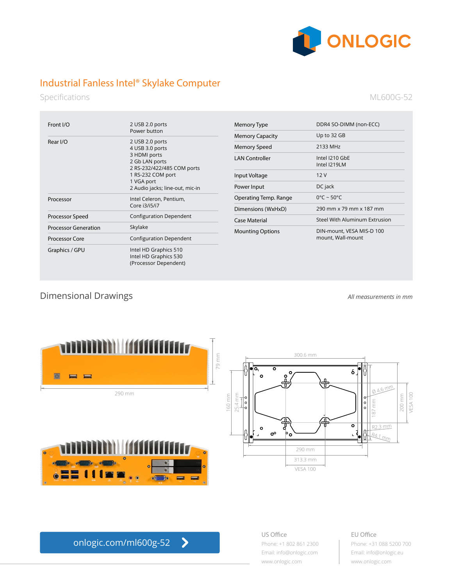

# Industrial Fanless Intel® Skylake Computer

Specifications

#### ML600G-52

| Front I/O                   | 2 USB 2.0 ports<br>Power button                                                                                                                                          |
|-----------------------------|--------------------------------------------------------------------------------------------------------------------------------------------------------------------------|
| Rear I/O                    | 2 USB 2.0 ports<br>4 USB 3.0 ports<br>3 HDMI ports<br>2 Gb LAN ports<br>2 RS-232/422/485 COM ports<br>1 RS-232 COM port<br>1 VGA port<br>2 Audio jacks; line-out, mic-in |
| Processor                   | Intel Celeron, Pentium,<br>Core i3/i5/i7                                                                                                                                 |
| Processor Speed             | <b>Configuration Dependent</b>                                                                                                                                           |
| <b>Processor Generation</b> | Skylake                                                                                                                                                                  |
| <b>Processor Core</b>       | <b>Configuration Dependent</b>                                                                                                                                           |
| Graphics / GPU              | Intel HD Graphics 510<br>Intel HD Graphics 530<br>(Processor Dependent)                                                                                                  |

| Memory Type             | DDR4 SO-DIMM (non-ECC)                         |
|-------------------------|------------------------------------------------|
| <b>Memory Capacity</b>  | Up to 32 GB                                    |
| Memory Speed            | 2133 MHz                                       |
| <b>LAN Controller</b>   | Intel I210 GbE<br>Intel I219LM                 |
| Input Voltage           | 12V                                            |
| Power Input             | DC jack                                        |
| Operating Temp. Range   | $0^{\circ}$ C ~ 50 $^{\circ}$ C                |
| Dimensions (WxHxD)      | 290 mm x 79 mm x 187 mm                        |
| Case Material           | Steel With Aluminum Extrusion                  |
| <b>Mounting Options</b> | DIN-mount, VESA MIS-D 100<br>mount, Wall-mount |

## Dimensional Drawings *All measurements in mm*



[onlogic.com/ml600g-52](http://onlogic.com/ml600g-52)  $\blacktriangleright$ 

#### US Office Phone: +1 802 861 2300 Email: info@onlogic.com [www.onlogic.com](http://www.onlogic.com)

### EU Office

Phone: +31 088 5200 700 Email: info@onlogic.eu [www.onlogic.com](http://www.onlogic.com)